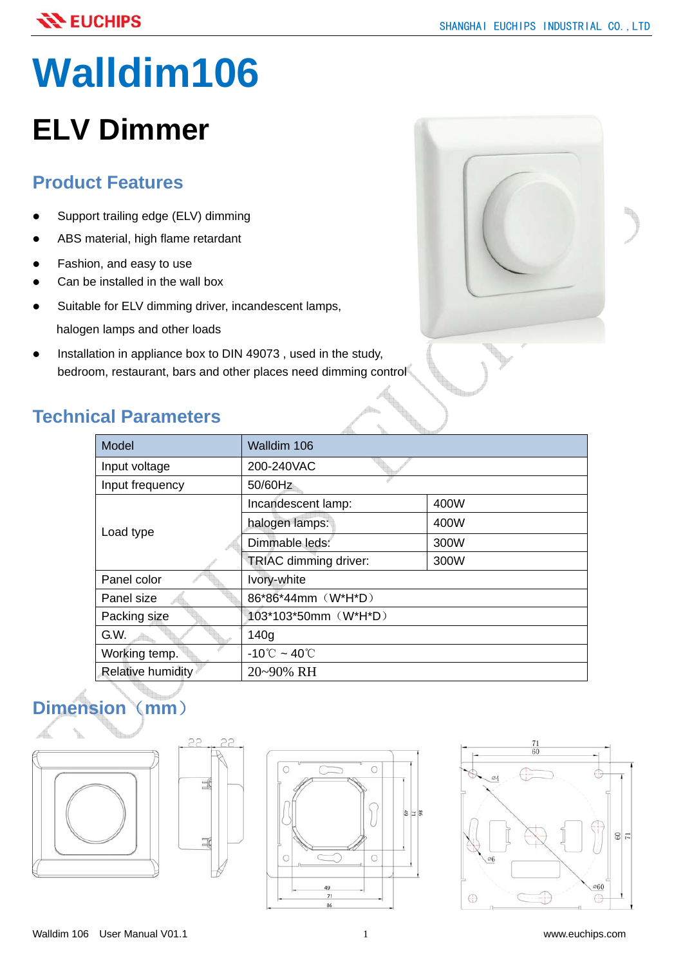# **Walldim106**

# **ELV Dimmer**

### **Product Features**

- Support trailing edge (ELV) dimming
- ABS material, high flame retardant
- Fashion, and easy to use
- Can be installed in the wall box
- Suitable for ELV dimming driver, incandescent lamps, halogen lamps and other loads
- Installation in appliance box to DIN 49073, used in the study, bedroom, restaurant, bars and other places need dimming control

## **Technical Parameters**

| al Parameters     |                                   |      |
|-------------------|-----------------------------------|------|
| Model             | Walldim 106                       |      |
| Input voltage     | 200-240VAC                        |      |
| Input frequency   | 50/60Hz                           |      |
| Load type         | Incandescent lamp:                | 400W |
|                   | halogen lamps:                    | 400W |
|                   | Dimmable leds:                    | 300W |
|                   | TRIAC dimming driver:             | 300W |
| Panel color       | Ivory-white                       |      |
| Panel size        | 86*86*44mm (W*H*D)                |      |
| Packing size      | 103*103*50mm (W*H*D)              |      |
| G.W.              | 140g                              |      |
| Working temp.     | $-10^{\circ}$ C ~ 40 $^{\circ}$ C |      |
| Relative humidity | 20~90% RH                         |      |

# **Dimension**(**mm**)